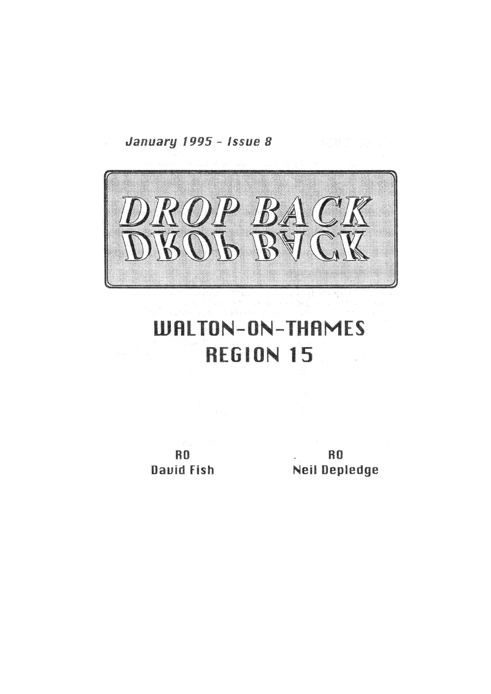January 1995 - Issue 8



# **WALTON-ON-THAMES REGION 15**

**RO David Fish** 

**RO** Neil Depledge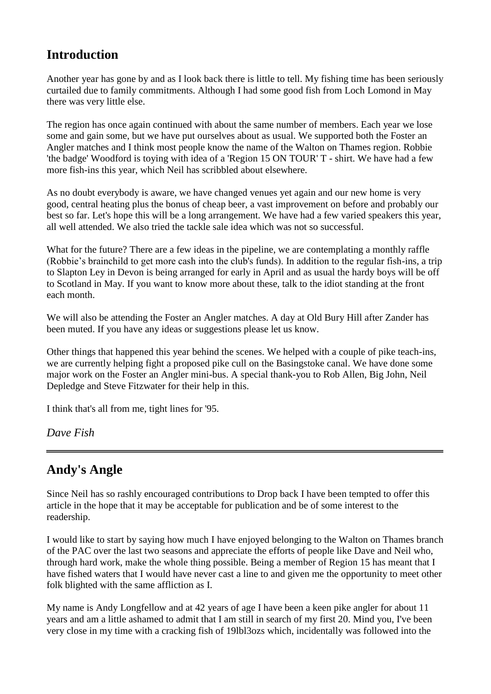#### **Introduction**

Another year has gone by and as I look back there is little to tell. My fishing time has been seriously curtailed due to family commitments. Although I had some good fish from Loch Lomond in May there was very little else.

The region has once again continued with about the same number of members. Each year we lose some and gain some, but we have put ourselves about as usual. We supported both the Foster an Angler matches and I think most people know the name of the Walton on Thames region. Robbie 'the badge' Woodford is toying with idea of a 'Region 15 ON TOUR' T - shirt. We have had a few more fish-ins this year, which Neil has scribbled about elsewhere.

As no doubt everybody is aware, we have changed venues yet again and our new home is very good, central heating plus the bonus of cheap beer, a vast improvement on before and probably our best so far. Let's hope this will be a long arrangement. We have had a few varied speakers this year, all well attended. We also tried the tackle sale idea which was not so successful.

What for the future? There are a few ideas in the pipeline, we are contemplating a monthly raffle (Robbie's brainchild to get more cash into the club's funds). In addition to the regular fish-ins, a trip to Slapton Ley in Devon is being arranged for early in April and as usual the hardy boys will be off to Scotland in May. If you want to know more about these, talk to the idiot standing at the front each month.

We will also be attending the Foster an Angler matches. A day at Old Bury Hill after Zander has been muted. If you have any ideas or suggestions please let us know.

Other things that happened this year behind the scenes. We helped with a couple of pike teach-ins, we are currently helping fight a proposed pike cull on the Basingstoke canal. We have done some major work on the Foster an Angler mini-bus. A special thank-you to Rob Allen, Big John, Neil Depledge and Steve Fitzwater for their help in this.

I think that's all from me, tight lines for '95.

*Dave Fish*

# **Andy's Angle**

Since Neil has so rashly encouraged contributions to Drop back I have been tempted to offer this article in the hope that it may be acceptable for publication and be of some interest to the readership.

I would like to start by saying how much I have enjoyed belonging to the Walton on Thames branch of the PAC over the last two seasons and appreciate the efforts of people like Dave and Neil who, through hard work, make the whole thing possible. Being a member of Region 15 has meant that I have fished waters that I would have never cast a line to and given me the opportunity to meet other folk blighted with the same affliction as I.

My name is Andy Longfellow and at 42 years of age I have been a keen pike angler for about 11 years and am a little ashamed to admit that I am still in search of my first 20. Mind you, I've been very close in my time with a cracking fish of 19lbl3ozs which, incidentally was followed into the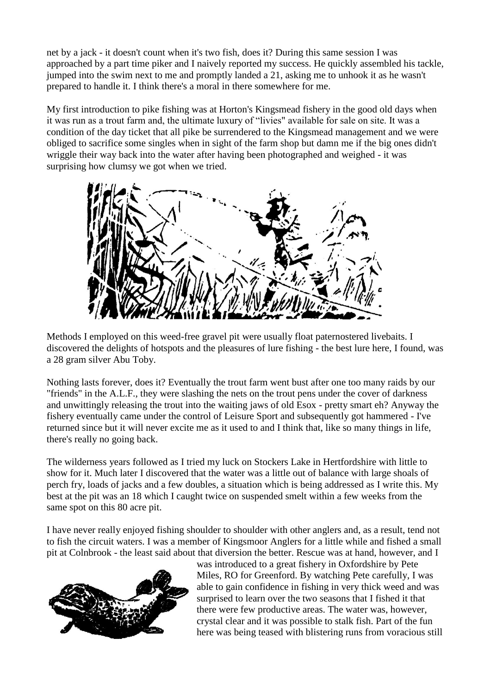net by a jack - it doesn't count when it's two fish, does it? During this same session I was approached by a part time piker and I naively reported my success. He quickly assembled his tackle, jumped into the swim next to me and promptly landed a 21, asking me to unhook it as he wasn't prepared to handle it. I think there's a moral in there somewhere for me.

My first introduction to pike fishing was at Horton's Kingsmead fishery in the good old days when it was run as a trout farm and, the ultimate luxury of "livies" available for sale on site. It was a condition of the day ticket that all pike be surrendered to the Kingsmead management and we were obliged to sacrifice some singles when in sight of the farm shop but damn me if the big ones didn't wriggle their way back into the water after having been photographed and weighed - it was surprising how clumsy we got when we tried.



Methods I employed on this weed-free gravel pit were usually float paternostered livebaits. I discovered the delights of hotspots and the pleasures of lure fishing - the best lure here, I found, was a 28 gram silver Abu Toby.

Nothing lasts forever, does it? Eventually the trout farm went bust after one too many raids by our "friends" in the A.L.F., they were slashing the nets on the trout pens under the cover of darkness and unwittingly releasing the trout into the waiting jaws of old Esox - pretty smart eh? Anyway the fishery eventually came under the control of Leisure Sport and subsequently got hammered - I've returned since but it will never excite me as it used to and I think that, like so many things in life, there's really no going back.

The wilderness years followed as I tried my luck on Stockers Lake in Hertfordshire with little to show for it. Much later I discovered that the water was a little out of balance with large shoals of perch fry, loads of jacks and a few doubles, a situation which is being addressed as I write this. My best at the pit was an 18 which I caught twice on suspended smelt within a few weeks from the same spot on this 80 acre pit.

I have never really enjoyed fishing shoulder to shoulder with other anglers and, as a result, tend not to fish the circuit waters. I was a member of Kingsmoor Anglers for a little while and fished a small pit at Colnbrook - the least said about that diversion the better. Rescue was at hand, however, and I



was introduced to a great fishery in Oxfordshire by Pete Miles, RO for Greenford. By watching Pete carefully, I was able to gain confidence in fishing in very thick weed and was surprised to learn over the two seasons that I fished it that there were few productive areas. The water was, however, crystal clear and it was possible to stalk fish. Part of the fun here was being teased with blistering runs from voracious still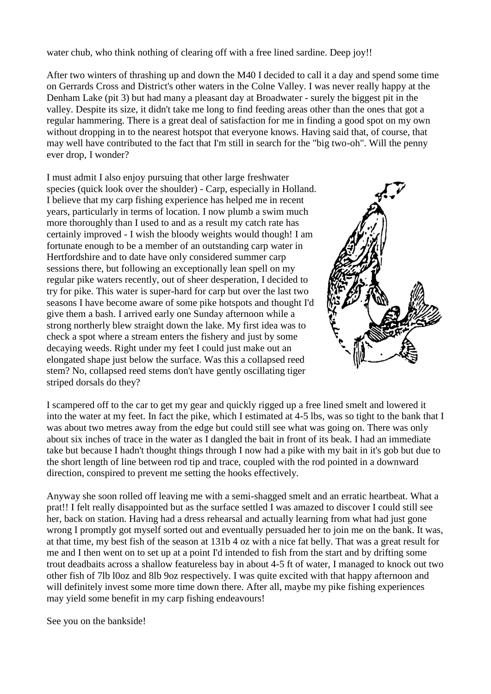water chub, who think nothing of clearing off with a free lined sardine. Deep joy!!

After two winters of thrashing up and down the M40 I decided to call it a day and spend some time on Gerrards Cross and District's other waters in the Colne Valley. I was never really happy at the Denham Lake (pit 3) but had many a pleasant day at Broadwater - surely the biggest pit in the valley. Despite its size, it didn't take me long to find feeding areas other than the ones that got a regular hammering. There is a great deal of satisfaction for me in finding a good spot on my own without dropping in to the nearest hotspot that everyone knows. Having said that, of course, that may well have contributed to the fact that I'm still in search for the "big two-oh". Will the penny ever drop, I wonder?

I must admit I also enjoy pursuing that other large freshwater species (quick look over the shoulder) - Carp, especially in Holland. I believe that my carp fishing experience has helped me in recent years, particularly in terms of location. I now plumb a swim much more thoroughly than I used to and as a result my catch rate has certainly improved - I wish the bloody weights would though! I am fortunate enough to be a member of an outstanding carp water in Hertfordshire and to date have only considered summer carp sessions there, but following an exceptionally lean spell on my regular pike waters recently, out of sheer desperation, I decided to try for pike. This water is super-hard for carp but over the last two seasons I have become aware of some pike hotspots and thought I'd give them a bash. I arrived early one Sunday afternoon while a strong northerly blew straight down the lake. My first idea was to check a spot where a stream enters the fishery and just by some decaying weeds. Right under my feet I could just make out an elongated shape just below the surface. Was this a collapsed reed stem? No, collapsed reed stems don't have gently oscillating tiger striped dorsals do they?



I scampered off to the car to get my gear and quickly rigged up a free lined smelt and lowered it into the water at my feet. In fact the pike, which I estimated at 4-5 lbs, was so tight to the bank that I was about two metres away from the edge but could still see what was going on. There was only about six inches of trace in the water as I dangled the bait in front of its beak. I had an immediate take but because I hadn't thought things through I now had a pike with my bait in it's gob but due to the short length of line between rod tip and trace, coupled with the rod pointed in a downward direction, conspired to prevent me setting the hooks effectively.

Anyway she soon rolled off leaving me with a semi-shagged smelt and an erratic heartbeat. What a prat!! I felt really disappointed but as the surface settled I was amazed to discover I could still see her, back on station. Having had a dress rehearsal and actually learning from what had just gone wrong I promptly got myself sorted out and eventually persuaded her to join me on the bank. It was, at that time, my best fish of the season at 131b 4 oz with a nice fat belly. That was a great result for me and I then went on to set up at a point I'd intended to fish from the start and by drifting some trout deadbaits across a shallow featureless bay in about 4-5 ft of water, I managed to knock out two other fish of 7lb l0oz and 8lb 9oz respectively. I was quite excited with that happy afternoon and will definitely invest some more time down there. After all, maybe my pike fishing experiences may yield some benefit in my carp fishing endeavours!

See you on the bankside!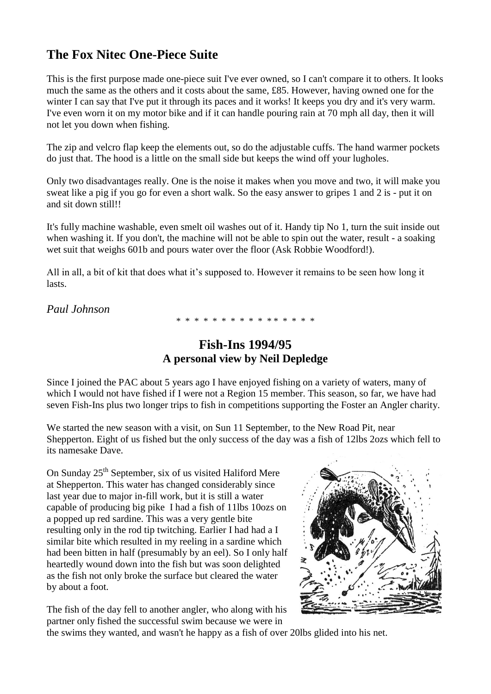# **The Fox Nitec One-Piece Suite**

This is the first purpose made one-piece suit I've ever owned, so I can't compare it to others. It looks much the same as the others and it costs about the same, £85. However, having owned one for the winter I can say that I've put it through its paces and it works! It keeps you dry and it's very warm. I've even worn it on my motor bike and if it can handle pouring rain at 70 mph all day, then it will not let you down when fishing.

The zip and velcro flap keep the elements out, so do the adjustable cuffs. The hand warmer pockets do just that. The hood is a little on the small side but keeps the wind off your lugholes.

Only two disadvantages really. One is the noise it makes when you move and two, it will make you sweat like a pig if you go for even a short walk. So the easy answer to gripes 1 and 2 is - put it on and sit down still!!

It's fully machine washable, even smelt oil washes out of it. Handy tip No 1, turn the suit inside out when washing it. If you don't, the machine will not be able to spin out the water, result - a soaking wet suit that weighs 601b and pours water over the floor (Ask Robbie Woodford!).

All in all, a bit of kit that does what it's supposed to. However it remains to be seen how long it lasts.

*Paul Johnson*

\* \* \* \* \* \* \* \* \* \* \* \* \* \* \* \*

# **Fish-Ins 1994/95 A personal view by Neil Depledge**

Since I joined the PAC about 5 years ago I have enjoyed fishing on a variety of waters, many of which I would not have fished if I were not a Region 15 member. This season, so far, we have had seven Fish-Ins plus two longer trips to fish in competitions supporting the Foster an Angler charity.

We started the new season with a visit, on Sun 11 September, to the New Road Pit, near Shepperton. Eight of us fished but the only success of the day was a fish of 12lbs 2ozs which fell to its namesake Dave.

On Sunday  $25<sup>th</sup>$  September, six of us visited Haliford Mere at Shepperton. This water has changed considerably since last year due to major in-fill work, but it is still a water capable of producing big pike I had a fish of 11lbs 10ozs on a popped up red sardine. This was a very gentle bite resulting only in the rod tip twitching. Earlier I had had a I similar bite which resulted in my reeling in a sardine which had been bitten in half (presumably by an eel). So I only half heartedly wound down into the fish but was soon delighted as the fish not only broke the surface but cleared the water by about a foot.



The fish of the day fell to another angler, who along with his partner only fished the successful swim because we were in

the swims they wanted, and wasn't he happy as a fish of over 20lbs glided into his net.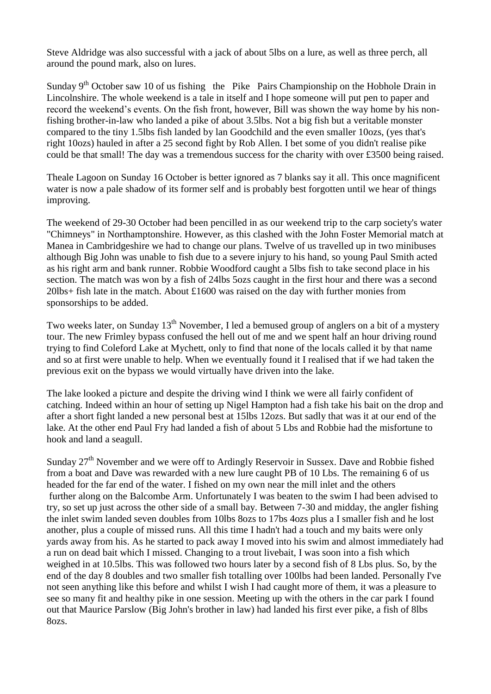Steve Aldridge was also successful with a jack of about 5lbs on a lure, as well as three perch, all around the pound mark, also on lures.

Sunday  $9<sup>th</sup>$  October saw 10 of us fishing the Pike Pairs Championship on the Hobhole Drain in Lincolnshire. The whole weekend is a tale in itself and I hope someone will put pen to paper and record the weekend's events. On the fish front, however, Bill was shown the way home by his nonfishing brother-in-law who landed a pike of about 3.5lbs. Not a big fish but a veritable monster compared to the tiny 1.5lbs fish landed by lan Goodchild and the even smaller 10ozs, (yes that's right 10ozs) hauled in after a 25 second fight by Rob Allen. I bet some of you didn't realise pike could be that small! The day was a tremendous success for the charity with over £3500 being raised.

Theale Lagoon on Sunday 16 October is better ignored as 7 blanks say it all. This once magnificent water is now a pale shadow of its former self and is probably best forgotten until we hear of things improving.

The weekend of 29-30 October had been pencilled in as our weekend trip to the carp society's water "Chimneys" in Northamptonshire. However, as this clashed with the John Foster Memorial match at Manea in Cambridgeshire we had to change our plans. Twelve of us travelled up in two minibuses although Big John was unable to fish due to a severe injury to his hand, so young Paul Smith acted as his right arm and bank runner. Robbie Woodford caught a 5lbs fish to take second place in his section. The match was won by a fish of 24lbs 5ozs caught in the first hour and there was a second 20lbs+ fish late in the match. About £1600 was raised on the day with further monies from sponsorships to be added.

Two weeks later, on Sunday 13<sup>th</sup> November, I led a bemused group of anglers on a bit of a mystery tour. The new Frimley bypass confused the hell out of me and we spent half an hour driving round trying to find Coleford Lake at Mychett, only to find that none of the locals called it by that name and so at first were unable to help. When we eventually found it I realised that if we had taken the previous exit on the bypass we would virtually have driven into the lake.

The lake looked a picture and despite the driving wind I think we were all fairly confident of catching. Indeed within an hour of setting up Nigel Hampton had a fish take his bait on the drop and after a short fight landed a new personal best at 15lbs 12ozs. But sadly that was it at our end of the lake. At the other end Paul Fry had landed a fish of about 5 Lbs and Robbie had the misfortune to hook and land a seagull.

Sunday 27<sup>th</sup> November and we were off to Ardingly Reservoir in Sussex. Dave and Robbie fished from a boat and Dave was rewarded with a new lure caught PB of 10 Lbs. The remaining 6 of us headed for the far end of the water. I fished on my own near the mill inlet and the others further along on the Balcombe Arm. Unfortunately I was beaten to the swim I had been advised to try, so set up just across the other side of a small bay. Between 7-30 and midday, the angler fishing the inlet swim landed seven doubles from 10lbs 8ozs to 17bs 4ozs plus a I smaller fish and he lost another, plus a couple of missed runs. All this time I hadn't had a touch and my baits were only yards away from his. As he started to pack away I moved into his swim and almost immediately had a run on dead bait which I missed. Changing to a trout livebait, I was soon into a fish which weighed in at 10.5lbs. This was followed two hours later by a second fish of 8 Lbs plus. So, by the end of the day 8 doubles and two smaller fish totalling over 100lbs had been landed. Personally I've not seen anything like this before and whilst I wish I had caught more of them, it was a pleasure to see so many fit and healthy pike in one session. Meeting up with the others in the car park I found out that Maurice Parslow (Big John's brother in law) had landed his first ever pike, a fish of 8lbs 8ozs.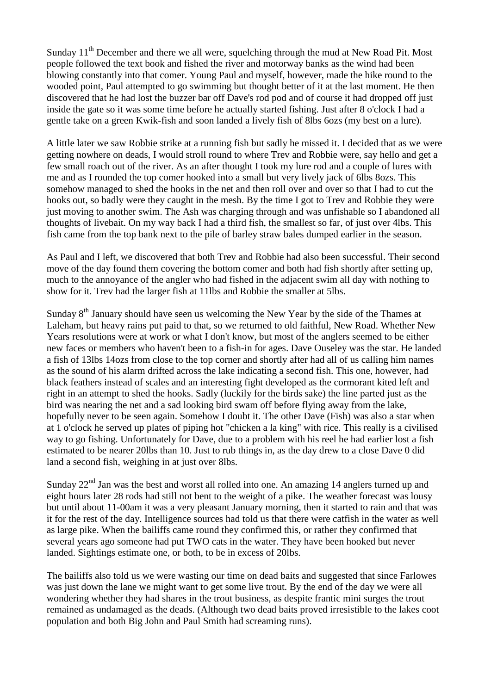Sunday  $11<sup>th</sup>$  December and there we all were, squelching through the mud at New Road Pit. Most people followed the text book and fished the river and motorway banks as the wind had been blowing constantly into that comer. Young Paul and myself, however, made the hike round to the wooded point, Paul attempted to go swimming but thought better of it at the last moment. He then discovered that he had lost the buzzer bar off Dave's rod pod and of course it had dropped off just inside the gate so it was some time before he actually started fishing. Just after 8 o'clock I had a gentle take on a green Kwik-fish and soon landed a lively fish of 8lbs 6ozs (my best on a lure).

A little later we saw Robbie strike at a running fish but sadly he missed it. I decided that as we were getting nowhere on deads, I would stroll round to where Trev and Robbie were, say hello and get a few small roach out of the river. As an after thought I took my lure rod and a couple of lures with me and as I rounded the top comer hooked into a small but very lively jack of 6lbs 8ozs. This somehow managed to shed the hooks in the net and then roll over and over so that I had to cut the hooks out, so badly were they caught in the mesh. By the time I got to Trev and Robbie they were just moving to another swim. The Ash was charging through and was unfishable so I abandoned all thoughts of livebait. On my way back I had a third fish, the smallest so far, of just over 4lbs. This fish came from the top bank next to the pile of barley straw bales dumped earlier in the season.

As Paul and I left, we discovered that both Trev and Robbie had also been successful. Their second move of the day found them covering the bottom comer and both had fish shortly after setting up, much to the annoyance of the angler who had fished in the adjacent swim all day with nothing to show for it. Trev had the larger fish at 11lbs and Robbie the smaller at 5lbs.

Sunday  $8<sup>th</sup>$  January should have seen us welcoming the New Year by the side of the Thames at Laleham, but heavy rains put paid to that, so we returned to old faithful, New Road. Whether New Years resolutions were at work or what I don't know, but most of the anglers seemed to be either new faces or members who haven't been to a fish-in for ages. Dave Ouseley was the star. He landed a fish of 13lbs 14ozs from close to the top corner and shortly after had all of us calling him names as the sound of his alarm drifted across the lake indicating a second fish. This one, however, had black feathers instead of scales and an interesting fight developed as the cormorant kited left and right in an attempt to shed the hooks. Sadly (luckily for the birds sake) the line parted just as the bird was nearing the net and a sad looking bird swam off before flying away from the lake, hopefully never to be seen again. Somehow I doubt it. The other Dave (Fish) was also a star when at 1 o'clock he served up plates of piping hot "chicken a la king" with rice. This really is a civilised way to go fishing. Unfortunately for Dave, due to a problem with his reel he had earlier lost a fish estimated to be nearer 20lbs than 10. Just to rub things in, as the day drew to a close Dave 0 did land a second fish, weighing in at just over 8lbs.

Sunday  $22<sup>nd</sup>$  Jan was the best and worst all rolled into one. An amazing 14 anglers turned up and eight hours later 28 rods had still not bent to the weight of a pike. The weather forecast was lousy but until about 11-00am it was a very pleasant January morning, then it started to rain and that was it for the rest of the day. Intelligence sources had told us that there were catfish in the water as well as large pike. When the bailiffs came round they confirmed this, or rather they confirmed that several years ago someone had put TWO cats in the water. They have been hooked but never landed. Sightings estimate one, or both, to be in excess of 20lbs.

The bailiffs also told us we were wasting our time on dead baits and suggested that since Farlowes was just down the lane we might want to get some live trout. By the end of the day we were all wondering whether they had shares in the trout business, as despite frantic mini surges the trout remained as undamaged as the deads. (Although two dead baits proved irresistible to the lakes coot population and both Big John and Paul Smith had screaming runs).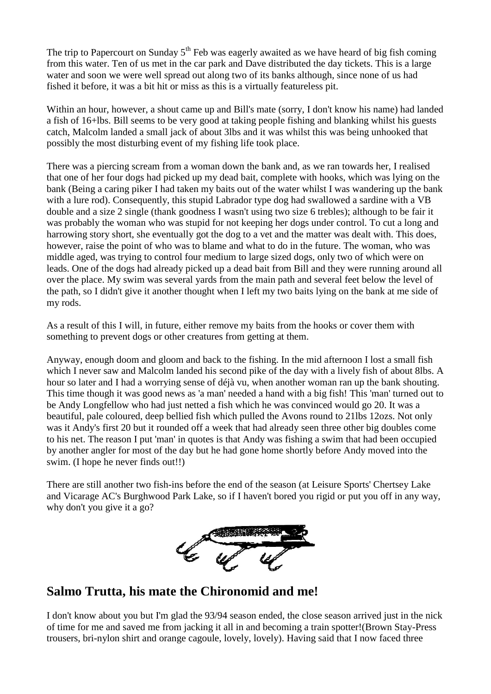The trip to Papercourt on Sunday  $5<sup>th</sup>$  Feb was eagerly awaited as we have heard of big fish coming from this water. Ten of us met in the car park and Dave distributed the day tickets. This is a large water and soon we were well spread out along two of its banks although, since none of us had fished it before, it was a bit hit or miss as this is a virtually featureless pit.

Within an hour, however, a shout came up and Bill's mate (sorry, I don't know his name) had landed a fish of 16+lbs. Bill seems to be very good at taking people fishing and blanking whilst his guests catch, Malcolm landed a small jack of about 3lbs and it was whilst this was being unhooked that possibly the most disturbing event of my fishing life took place.

There was a piercing scream from a woman down the bank and, as we ran towards her, I realised that one of her four dogs had picked up my dead bait, complete with hooks, which was lying on the bank (Being a caring piker I had taken my baits out of the water whilst I was wandering up the bank with a lure rod). Consequently, this stupid Labrador type dog had swallowed a sardine with a VB double and a size 2 single (thank goodness I wasn't using two size 6 trebles); although to be fair it was probably the woman who was stupid for not keeping her dogs under control. To cut a long and harrowing story short, she eventually got the dog to a vet and the matter was dealt with. This does, however, raise the point of who was to blame and what to do in the future. The woman, who was middle aged, was trying to control four medium to large sized dogs, only two of which were on leads. One of the dogs had already picked up a dead bait from Bill and they were running around all over the place. My swim was several yards from the main path and several feet below the level of the path, so I didn't give it another thought when I left my two baits lying on the bank at me side of my rods.

As a result of this I will, in future, either remove my baits from the hooks or cover them with something to prevent dogs or other creatures from getting at them.

Anyway, enough doom and gloom and back to the fishing. In the mid afternoon I lost a small fish which I never saw and Malcolm landed his second pike of the day with a lively fish of about 8lbs. A hour so later and I had a worrying sense of déjà vu, when another woman ran up the bank shouting. This time though it was good news as 'a man' needed a hand with a big fish! This 'man' turned out to be Andy Longfellow who had just netted a fish which he was convinced would go 20. It was a beautiful, pale coloured, deep bellied fish which pulled the Avons round to 21lbs 12ozs. Not only was it Andy's first 20 but it rounded off a week that had already seen three other big doubles come to his net. The reason I put 'man' in quotes is that Andy was fishing a swim that had been occupied by another angler for most of the day but he had gone home shortly before Andy moved into the swim. (I hope he never finds out!!)

There are still another two fish-ins before the end of the season (at Leisure Sports' Chertsey Lake and Vicarage AC's Burghwood Park Lake, so if I haven't bored you rigid or put you off in any way, why don't you give it a go?



# **Salmo Trutta, his mate the Chironomid and me!**

I don't know about you but I'm glad the 93/94 season ended, the close season arrived just in the nick of time for me and saved me from jacking it all in and becoming a train spotter!(Brown Stay-Press trousers, bri-nylon shirt and orange cagoule, lovely, lovely). Having said that I now faced three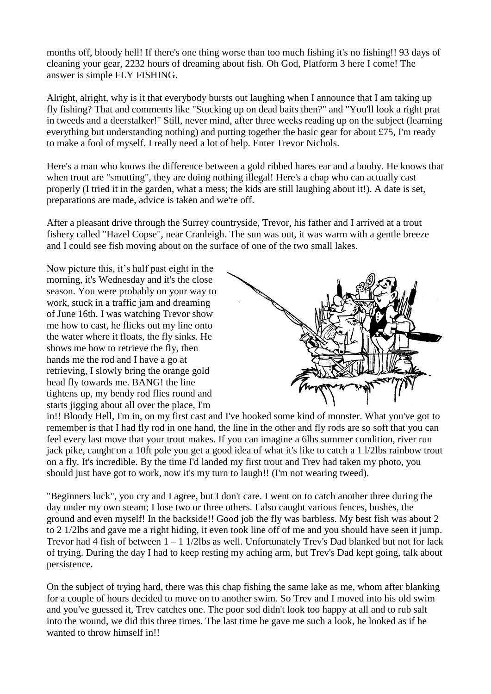months off, bloody hell! If there's one thing worse than too much fishing it's no fishing!! 93 days of cleaning your gear, 2232 hours of dreaming about fish. Oh God, Platform 3 here I come! The answer is simple FLY FISHING.

Alright, alright, why is it that everybody bursts out laughing when I announce that I am taking up fly fishing? That and comments like "Stocking up on dead baits then?" and "You'll look a right prat in tweeds and a deerstalker!" Still, never mind, after three weeks reading up on the subject (learning everything but understanding nothing) and putting together the basic gear for about £75, I'm ready to make a fool of myself. I really need a lot of help. Enter Trevor Nichols.

Here's a man who knows the difference between a gold ribbed hares ear and a booby. He knows that when trout are "smutting", they are doing nothing illegal! Here's a chap who can actually cast properly (I tried it in the garden, what a mess; the kids are still laughing about it!). A date is set, preparations are made, advice is taken and we're off.

After a pleasant drive through the Surrey countryside, Trevor, his father and I arrived at a trout fishery called "Hazel Copse", near Cranleigh. The sun was out, it was warm with a gentle breeze and I could see fish moving about on the surface of one of the two small lakes.

Now picture this, it's half past eight in the morning, it's Wednesday and it's the close season. You were probably on your way to work, stuck in a traffic jam and dreaming of June 16th. I was watching Trevor show me how to cast, he flicks out my line onto the water where it floats, the fly sinks. He shows me how to retrieve the fly, then hands me the rod and I have a go at retrieving, I slowly bring the orange gold head fly towards me. BANG! the line tightens up, my bendy rod flies round and starts jigging about all over the place, I'm



in!! Bloody Hell, I'm in, on my first cast and I've hooked some kind of monster. What you've got to remember is that I had fly rod in one hand, the line in the other and fly rods are so soft that you can feel every last move that your trout makes. If you can imagine a 6lbs summer condition, river run jack pike, caught on a 10ft pole you get a good idea of what it's like to catch a 1 l/2lbs rainbow trout on a fly. It's incredible. By the time I'd landed my first trout and Trev had taken my photo, you should just have got to work, now it's my turn to laugh!! (I'm not wearing tweed).

"Beginners luck", you cry and I agree, but I don't care. I went on to catch another three during the day under my own steam; I lose two or three others. I also caught various fences, bushes, the ground and even myself! In the backside!! Good job the fly was barbless. My best fish was about 2 to 2 1/2lbs and gave me a right hiding, it even took line off of me and you should have seen it jump. Trevor had 4 fish of between  $1 - 1$  1/2lbs as well. Unfortunately Trev's Dad blanked but not for lack of trying. During the day I had to keep resting my aching arm, but Trev's Dad kept going, talk about persistence.

On the subject of trying hard, there was this chap fishing the same lake as me, whom after blanking for a couple of hours decided to move on to another swim. So Trev and I moved into his old swim and you've guessed it, Trev catches one. The poor sod didn't look too happy at all and to rub salt into the wound, we did this three times. The last time he gave me such a look, he looked as if he wanted to throw himself in!!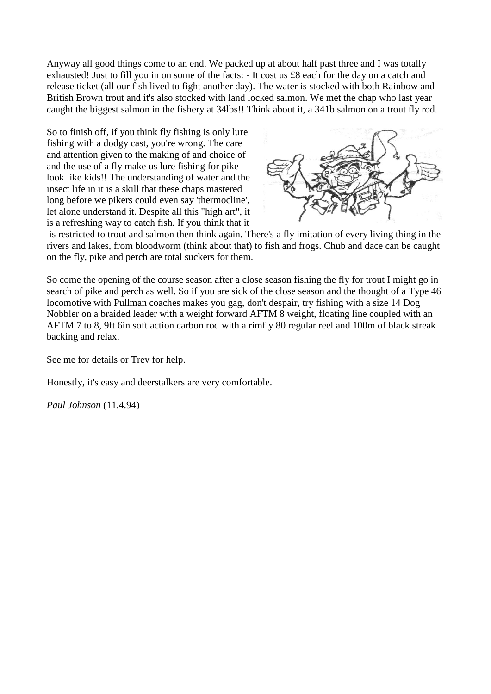Anyway all good things come to an end. We packed up at about half past three and I was totally exhausted! Just to fill you in on some of the facts: - It cost us £8 each for the day on a catch and release ticket (all our fish lived to fight another day). The water is stocked with both Rainbow and British Brown trout and it's also stocked with land locked salmon. We met the chap who last year caught the biggest salmon in the fishery at 34lbs!! Think about it, a 341b salmon on a trout fly rod.

So to finish off, if you think fly fishing is only lure fishing with a dodgy cast, you're wrong. The care and attention given to the making of and choice of and the use of a fly make us lure fishing for pike look like kids!! The understanding of water and the insect life in it is a skill that these chaps mastered long before we pikers could even say 'thermocline', let alone understand it. Despite all this "high art", it is a refreshing way to catch fish. If you think that it



is restricted to trout and salmon then think again. There's a fly imitation of every living thing in the rivers and lakes, from bloodworm (think about that) to fish and frogs. Chub and dace can be caught on the fly, pike and perch are total suckers for them.

So come the opening of the course season after a close season fishing the fly for trout I might go in search of pike and perch as well. So if you are sick of the close season and the thought of a Type 46 locomotive with Pullman coaches makes you gag, don't despair, try fishing with a size 14 Dog Nobbler on a braided leader with a weight forward AFTM 8 weight, floating line coupled with an AFTM 7 to 8, 9ft 6in soft action carbon rod with a rimfly 80 regular reel and 100m of black streak backing and relax.

See me for details or Trev for help.

Honestly, it's easy and deerstalkers are very comfortable.

*Paul Johnson* (11.4.94)